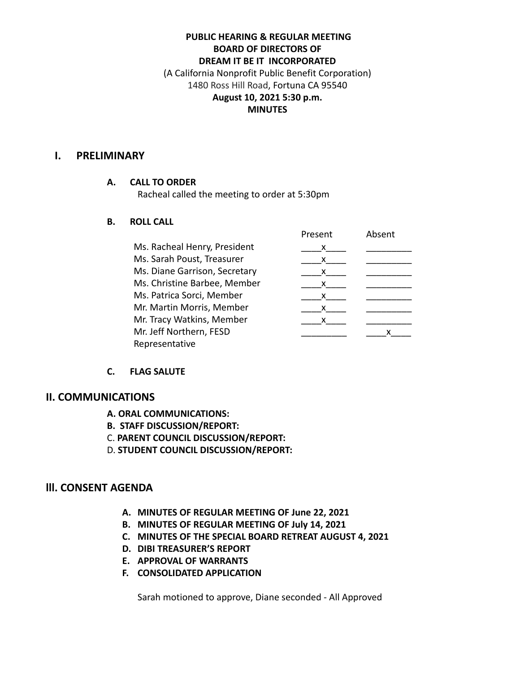## **PUBLIC HEARING & REGULAR MEETING BOARD OF DIRECTORS OF DREAM IT BE IT INCORPORATED** (A California Nonprofit Public Benefit Corporation) 1480 Ross Hill Road, Fortuna CA 95540 **August 10, 2021 5:30 p.m. MINUTES**

# **I. PRELIMINARY**

### **A. CALL TO ORDER**

Racheal called the meeting to order at 5:30pm

### **B. ROLL CALL**

|                               | Present. | ADSEIIL |
|-------------------------------|----------|---------|
| Ms. Racheal Henry, President  | X.       |         |
| Ms. Sarah Poust, Treasurer    | X.       |         |
| Ms. Diane Garrison, Secretary | X.       |         |
| Ms. Christine Barbee, Member  | X.       |         |
| Ms. Patrica Sorci, Member     | X.       |         |
| Mr. Martin Morris, Member     | X.       |         |
| Mr. Tracy Watkins, Member     | X.       |         |
| Mr. Jeff Northern, FESD       |          |         |
| Representative                |          |         |

Present Absent

## **C. FLAG SALUTE**

# **II. COMMUNICATIONS**

- **A. ORAL COMMUNICATIONS:**
- **B. STAFF DISCUSSION/REPORT:**
- C. **PARENT COUNCIL DISCUSSION/REPORT:**
- D. **STUDENT COUNCIL DISCUSSION/REPORT:**

## **lll. CONSENT AGENDA**

- **A. MINUTES OF REGULAR MEETING OF June 22, 2021**
- **B. MINUTES OF REGULAR MEETING OF July 14, 2021**
- **C. MINUTES OF THE SPECIAL BOARD RETREAT AUGUST 4, 2021**
- **D. DIBI TREASURER'S REPORT**
- **E. APPROVAL OF WARRANTS**
- **F. CONSOLIDATED APPLICATION**

Sarah motioned to approve, Diane seconded - All Approved